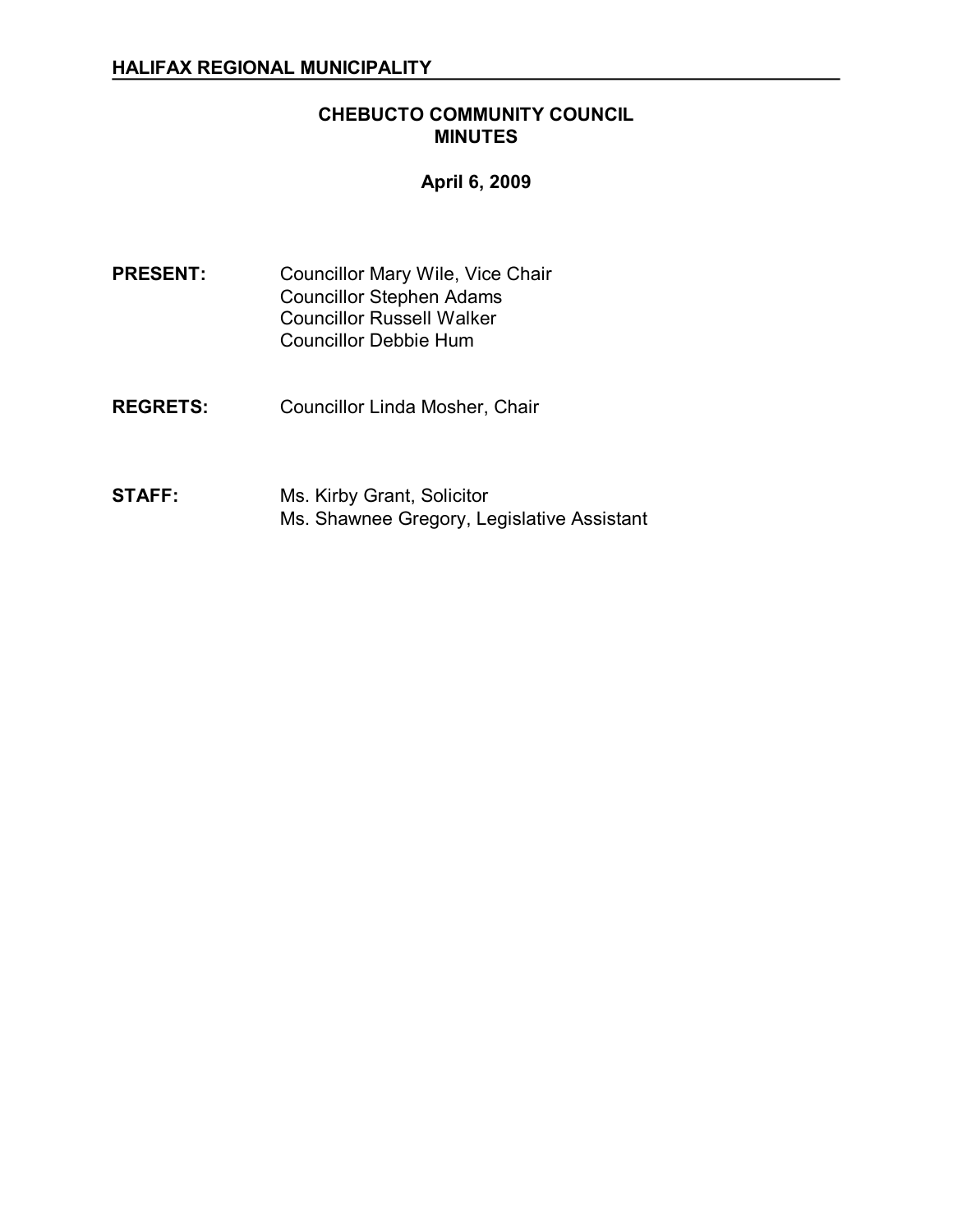## **CHEBUCTO COMMUNITY COUNCIL MINUTES**

## **April 6, 2009**

PRESENT: Councillor Mary Wile, Vice Chair Councillor Stephen Adams Councillor Russell Walker Councillor Debbie Hum

- **REGRETS:** Councillor Linda Mosher, Chair
- **STAFF:** Ms. Kirby Grant, Solicitor Ms. Shawnee Gregory, Legislative Assistant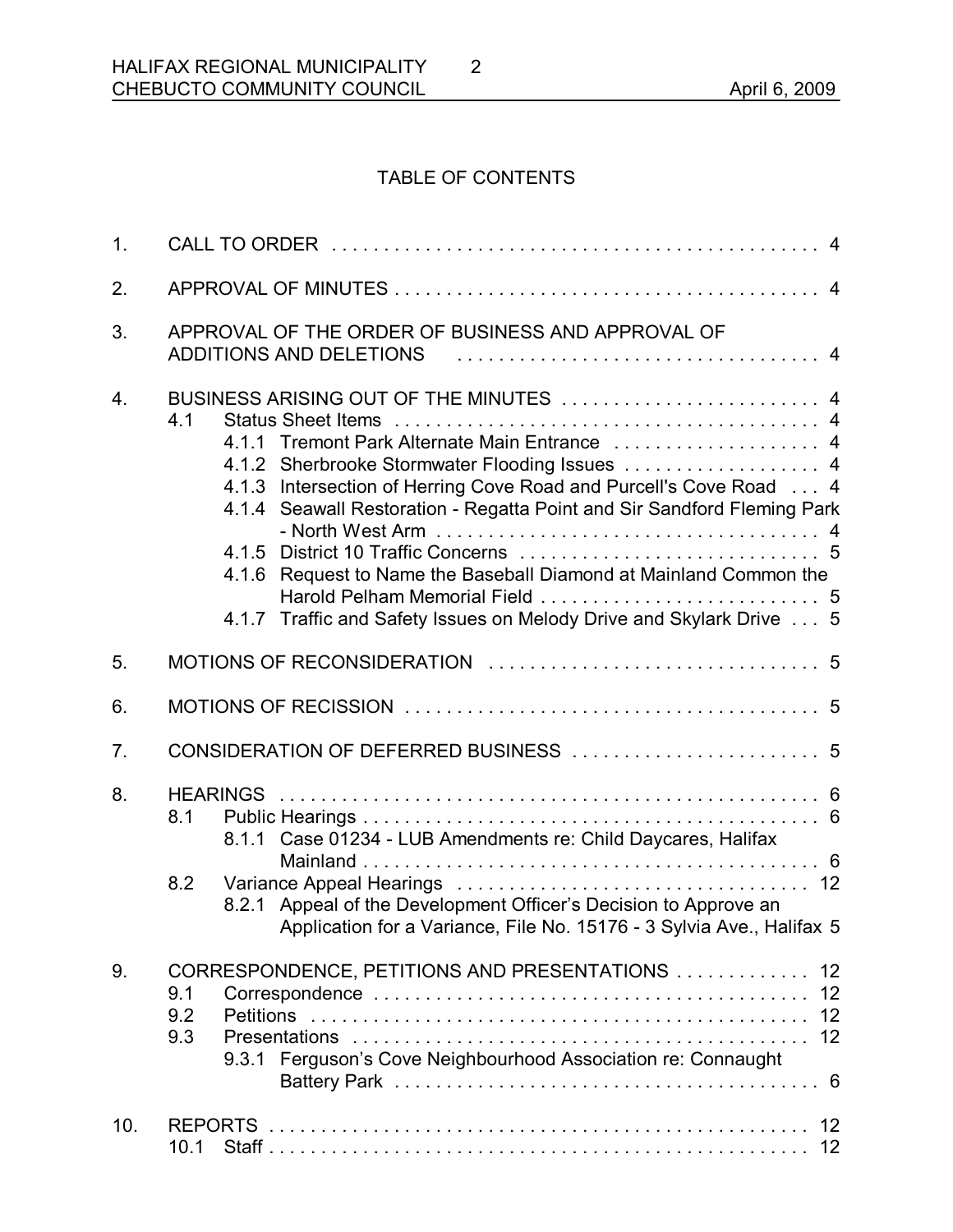## TABLE OF CONTENTS

2

| 1 <sub>1</sub> |                                                                                                                                                                                                                                                                                                                                                                                                                                                  |  |  |  |
|----------------|--------------------------------------------------------------------------------------------------------------------------------------------------------------------------------------------------------------------------------------------------------------------------------------------------------------------------------------------------------------------------------------------------------------------------------------------------|--|--|--|
| 2.             |                                                                                                                                                                                                                                                                                                                                                                                                                                                  |  |  |  |
| 3.             | APPROVAL OF THE ORDER OF BUSINESS AND APPROVAL OF<br>ADDITIONS AND DELETIONS (and the contract of the contract of the contract of the contract of the contract of t                                                                                                                                                                                                                                                                              |  |  |  |
| 4.             | BUSINESS ARISING OUT OF THE MINUTES  4<br>4.1<br>4.1.1 Tremont Park Alternate Main Entrance  4<br>4.1.2 Sherbrooke Stormwater Flooding Issues  4<br>4.1.3 Intersection of Herring Cove Road and Purcell's Cove Road  4<br>Seawall Restoration - Regatta Point and Sir Sandford Fleming Park<br>4.1.4<br>4.1.6 Request to Name the Baseball Diamond at Mainland Common the<br>4.1.7 Traffic and Safety Issues on Melody Drive and Skylark Drive 5 |  |  |  |
| 5.             |                                                                                                                                                                                                                                                                                                                                                                                                                                                  |  |  |  |
| 6.             |                                                                                                                                                                                                                                                                                                                                                                                                                                                  |  |  |  |
| 7.             |                                                                                                                                                                                                                                                                                                                                                                                                                                                  |  |  |  |
| 8.             | 8.1<br>8.1.1 Case 01234 - LUB Amendments re: Child Daycares, Halifax<br>8.2<br>8.2.1 Appeal of the Development Officer's Decision to Approve an<br>Application for a Variance, File No. 15176 - 3 Sylvia Ave., Halifax 5                                                                                                                                                                                                                         |  |  |  |
| 9.             | CORRESPONDENCE, PETITIONS AND PRESENTATIONS  12<br>9.1<br>9.2<br>9.3<br>9.3.1 Ferguson's Cove Neighbourhood Association re: Connaught                                                                                                                                                                                                                                                                                                            |  |  |  |
| 10.            | 10.1                                                                                                                                                                                                                                                                                                                                                                                                                                             |  |  |  |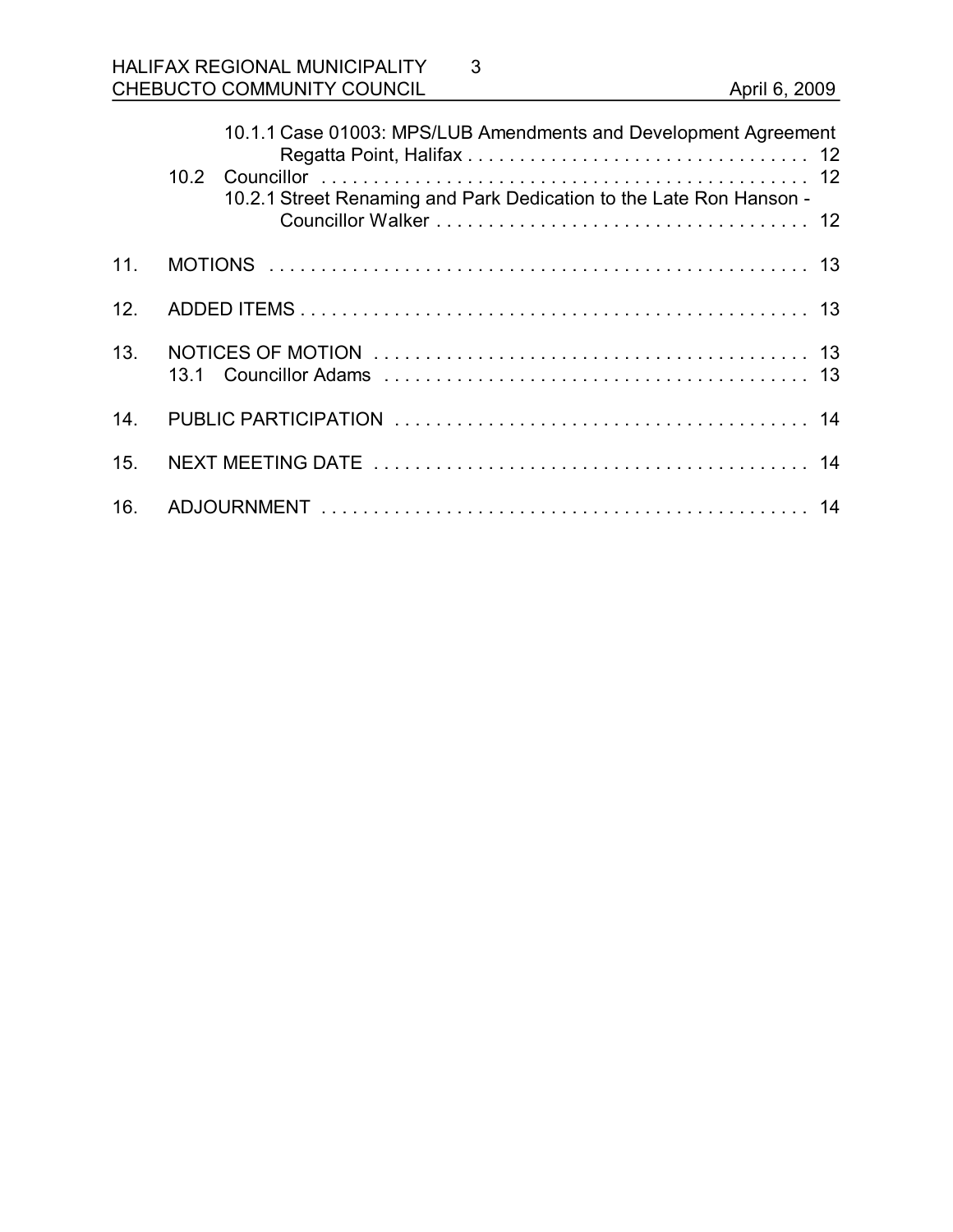## HALIFAX REGIONAL MUNICIPALITY CHEBUCTO COMMUNITY COUNCIL **COUNCIL** April 6, 2009

|                 |  | 10.1.1 Case 01003: MPS/LUB Amendments and Development Agreement<br>10.2.1 Street Renaming and Park Dedication to the Late Ron Hanson - |  |
|-----------------|--|----------------------------------------------------------------------------------------------------------------------------------------|--|
| 11 <sub>1</sub> |  |                                                                                                                                        |  |
| 12.             |  |                                                                                                                                        |  |
| 13.             |  |                                                                                                                                        |  |
| 14.             |  |                                                                                                                                        |  |
| 15.             |  |                                                                                                                                        |  |
| 16.             |  |                                                                                                                                        |  |

3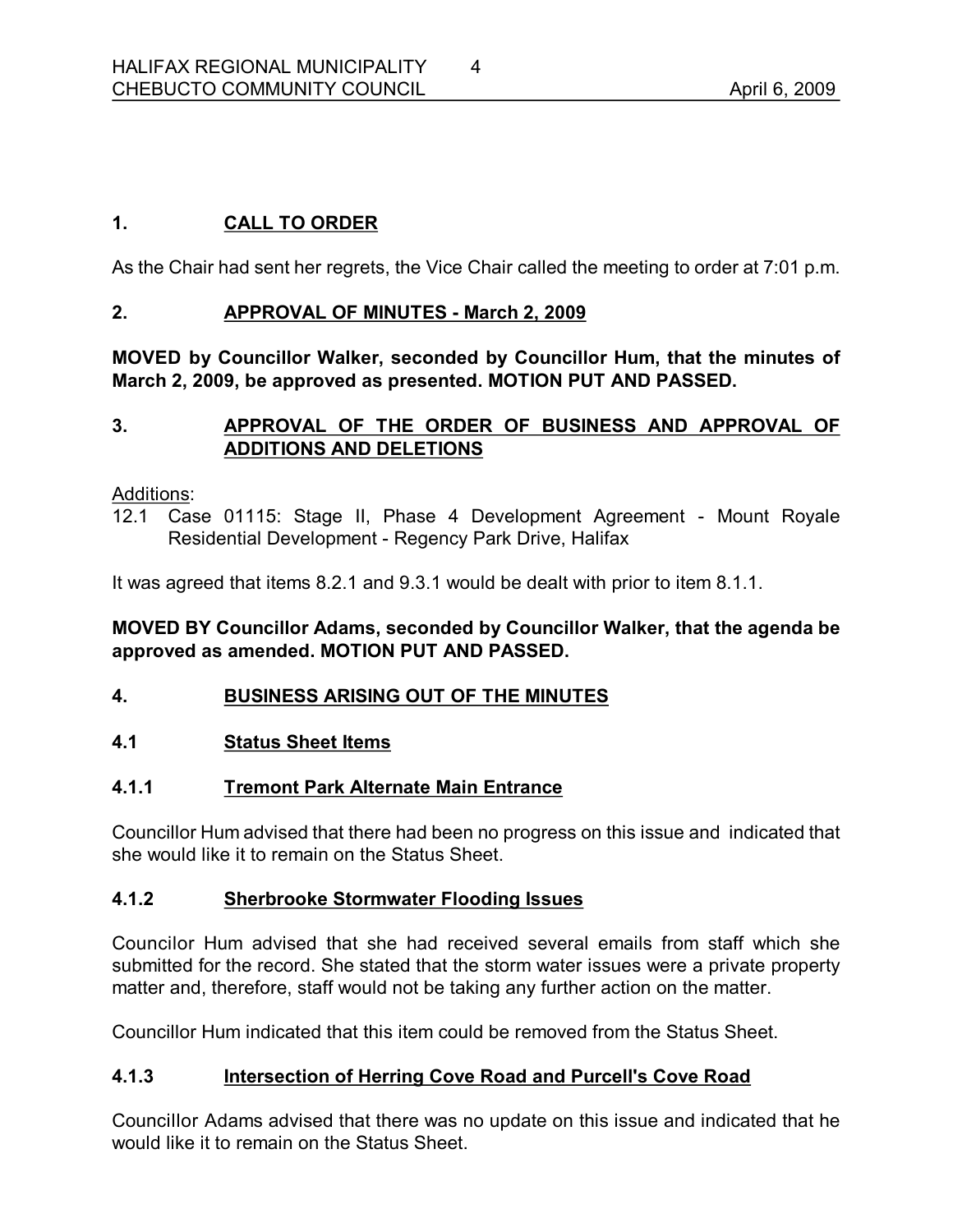## **1. CALL TO ORDER**

As the Chair had sent her regrets, the Vice Chair called the meeting to order at 7:01 p.m.

## **2. APPROVAL OF MINUTES March 2, 2009**

**MOVED by Councillor Walker, seconded by Councillor Hum, that the minutes of March 2, 2009, be approved as presented. MOTION PUT AND PASSED.** 

## **3. APPROVAL OF THE ORDER OF BUSINESS AND APPROVAL OF ADDITIONS AND DELETIONS**

#### Additions:

12.1 Case 01115: Stage II, Phase 4 Development Agreement - Mount Royale Residential Development - Regency Park Drive, Halifax

It was agreed that items 8.2.1 and 9.3.1 would be dealt with prior to item 8.1.1.

## **MOVED BY Councillor Adams, seconded by Councillor Walker, that the agenda be approved as amended. MOTION PUT AND PASSED.**

## **4. BUSINESS ARISING OUT OF THE MINUTES**

#### **4.1 Status Sheet Items**

## **4.1.1 Tremont Park Alternate Main Entrance**

Councillor Hum advised that there had been no progress on this issue and indicated that she would like it to remain on the Status Sheet.

#### **4.1.2 Sherbrooke Stormwater Flooding Issues**

Councilor Hum advised that she had received several emails from staff which she submitted for the record. She stated that the storm water issues were a private property matter and, therefore, staff would not be taking any further action on the matter.

Councillor Hum indicated that this item could be removed from the Status Sheet.

## **4.1.3 Intersection of Herring Cove Road and Purcell's Cove Road**

Councillor Adams advised that there was no update on this issue and indicated that he would like it to remain on the Status Sheet.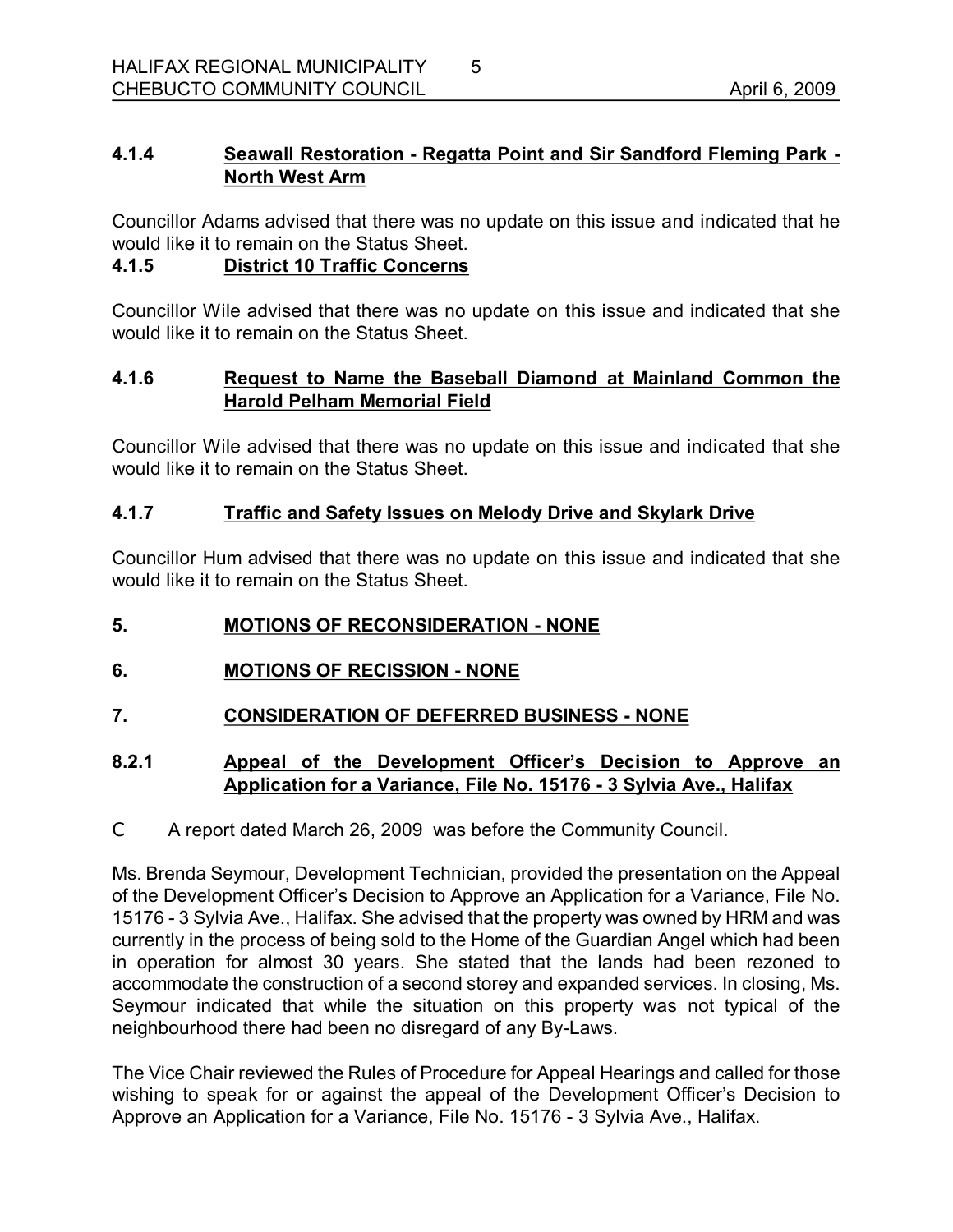# **4.1.4 Seawall Restoration Regatta Point and Sir Sandford Fleming Park North West Arm**

Councillor Adams advised that there was no update on this issue and indicated that he would like it to remain on the Status Sheet.

## **4.1.5 District 10 Traffic Concerns**

Councillor Wile advised that there was no update on this issue and indicated that she would like it to remain on the Status Sheet.

## **4.1.6 Request to Name the Baseball Diamond at Mainland Common the Harold Pelham Memorial Field**

Councillor Wile advised that there was no update on this issue and indicated that she would like it to remain on the Status Sheet.

## **4.1.7 Traffic and Safety Issues on Melody Drive and Skylark Drive**

Councillor Hum advised that there was no update on this issue and indicated that she would like it to remain on the Status Sheet.

## **5. MOTIONS OF RECONSIDERATION NONE**

- **6. MOTIONS OF RECISSION NONE**
- **7. CONSIDERATION OF DEFERRED BUSINESS NONE**

## **8.2.1 Appeal of the Development Officer's Decision to Approve an Application for a Variance, File No. 15176 3 Sylvia Ave., Halifax**

C A report dated March 26, 2009 was before the Community Council.

Ms. Brenda Seymour, Development Technician, provided the presentation on the Appeal of the Development Officer's Decision to Approve an Application for a Variance, File No. 15176 3 Sylvia Ave., Halifax. She advised that the property was owned by HRM and was currently in the process of being sold to the Home of the Guardian Angel which had been in operation for almost 30 years. She stated that the lands had been rezoned to accommodate the construction of a second storey and expanded services. In closing, Ms. Seymour indicated that while the situation on this property was not typical of the neighbourhood there had been no disregard of any By-Laws.

The Vice Chair reviewed the Rules of Procedure for Appeal Hearings and called for those wishing to speak for or against the appeal of the Development Officer's Decision to Approve an Application for a Variance, File No. 15176 - 3 Sylvia Ave., Halifax.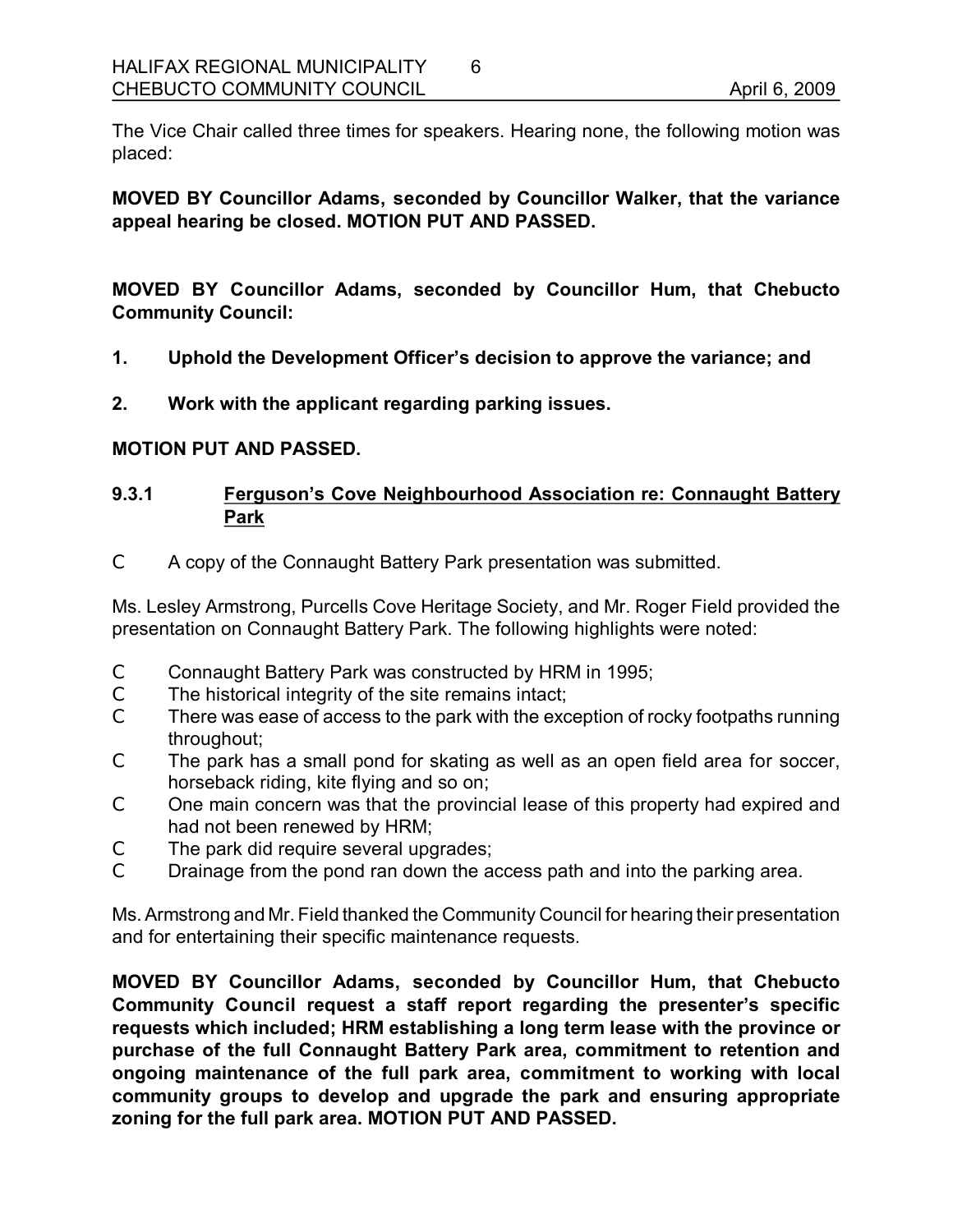The Vice Chair called three times for speakers. Hearing none, the following motion was placed:

6

**MOVED BY Councillor Adams, seconded by Councillor Walker, that the variance appeal hearing be closed. MOTION PUT AND PASSED.** 

**MOVED BY Councillor Adams, seconded by Councillor Hum, that Chebucto Community Council:**

- **1. Uphold the Development Officer's decision to approve the variance; and**
- **2. Work with the applicant regarding parking issues.**

#### **MOTION PUT AND PASSED.**

## **9.3.1 Ferguson's Cove Neighbourhood Association re: Connaught Battery Park**

C A copy of the Connaught Battery Park presentation was submitted.

Ms. Lesley Armstrong, Purcells Cove Heritage Society, and Mr. Roger Field provided the presentation on Connaught Battery Park. The following highlights were noted:

- C Connaught Battery Park was constructed by HRM in 1995;
- C The historical integrity of the site remains intact;
- C There was ease of access to the park with the exception of rocky footpaths running throughout;
- C The park has a small pond for skating as well as an open field area for soccer, horseback riding, kite flying and so on;
- C One main concern was that the provincial lease of this property had expired and had not been renewed by HRM;
- C The park did require several upgrades;
- C Drainage from the pond ran down the access path and into the parking area.

Ms.Armstrong and Mr. Field thanked the Community Council for hearing their presentation and for entertaining their specific maintenance requests.

**MOVED BY Councillor Adams, seconded by Councillor Hum, that Chebucto Community Council request a staff report regarding the presenter's specific requests which included; HRM establishing a long term lease with the province or purchase of the full Connaught Battery Park area, commitment to retention and ongoing maintenance of the full park area, commitment to working with local community groups to develop and upgrade the park and ensuring appropriate zoning for the full park area. MOTION PUT AND PASSED.**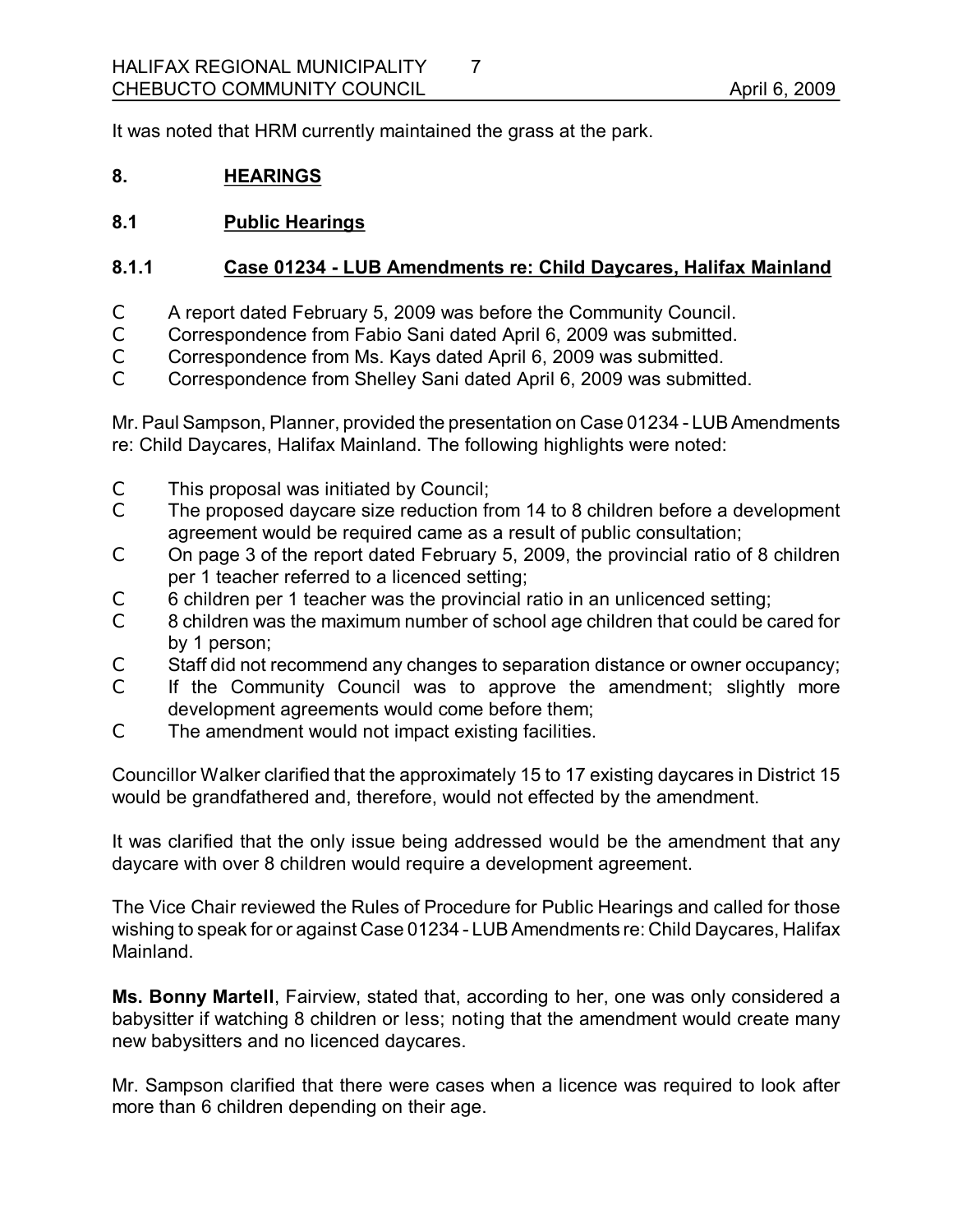It was noted that HRM currently maintained the grass at the park.

## **8. HEARINGS**

## **8.1 Public Hearings**

## **8.1.1 Case 01234 LUB Amendments re: Child Daycares, Halifax Mainland**

- C A report dated February 5, 2009 was before the Community Council.
- C Correspondence from Fabio Sani dated April 6, 2009 was submitted.
- C Correspondence from Ms. Kays dated April 6, 2009 was submitted.
- C Correspondence from Shelley Sani dated April 6, 2009 was submitted.

Mr.Paul Sampson, Planner, provided the presentation on Case 01234 LUB Amendments re: Child Daycares, Halifax Mainland. The following highlights were noted:

- C This proposal was initiated by Council;
- C The proposed daycare size reduction from 14 to 8 children before a development agreement would be required came as a result of public consultation;
- C On page 3 of the report dated February 5, 2009, the provincial ratio of 8 children per 1 teacher referred to a licenced setting;
- C 6 children per 1 teacher was the provincial ratio in an unlicenced setting;
- C 8 children was the maximum number of school age children that could be cared for by 1 person;
- C Staff did not recommend any changes to separation distance or owner occupancy;
- C If the Community Council was to approve the amendment; slightly more development agreements would come before them;
- C The amendment would not impact existing facilities.

Councillor Walker clarified that the approximately 15 to 17 existing daycares in District 15 would be grandfathered and, therefore, would not effected by the amendment.

It was clarified that the only issue being addressed would be the amendment that any daycare with over 8 children would require a development agreement.

The Vice Chair reviewed the Rules of Procedure for Public Hearings and called for those wishing to speak for or against Case 01234 LUB Amendments re: Child Daycares, Halifax Mainland.

**Ms. Bonny Martell**, Fairview, stated that, according to her, one was only considered a babysitter if watching 8 children or less; noting that the amendment would create many new babysitters and no licenced daycares.

Mr. Sampson clarified that there were cases when a licence was required to look after more than 6 children depending on their age.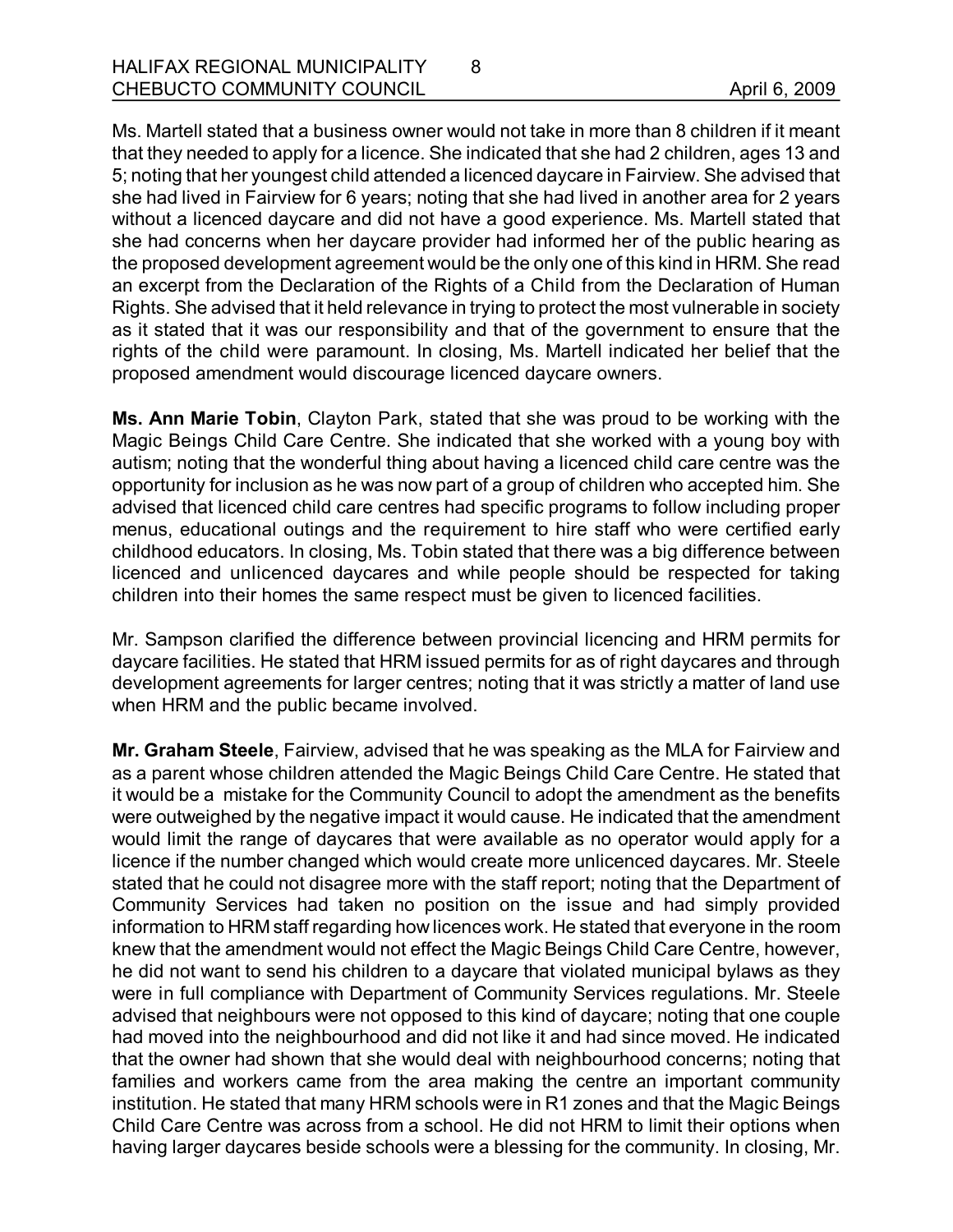Ms. Martell stated that a business owner would not take in more than 8 children if it meant that they needed to apply for a licence. She indicated that she had 2 children, ages 13 and 5; noting that her youngest child attended a licenced daycare in Fairview. She advised that she had lived in Fairview for 6 years; noting that she had lived in another area for 2 years without a licenced daycare and did not have a good experience. Ms. Martell stated that she had concerns when her daycare provider had informed her of the public hearing as the proposed development agreement would be the only one of this kind in HRM. She read an excerpt from the Declaration of the Rights of a Child from the Declaration of Human Rights. She advised that it held relevance in trying to protect the most vulnerable in society as it stated that it was our responsibility and that of the government to ensure that the rights of the child were paramount. In closing, Ms. Martell indicated her belief that the proposed amendment would discourage licenced daycare owners.

8

**Ms. Ann Marie Tobin**, Clayton Park, stated that she was proud to be working with the Magic Beings Child Care Centre. She indicated that she worked with a young boy with autism; noting that the wonderful thing about having a licenced child care centre was the opportunity for inclusion as he was now part of a group of children who accepted him. She advised that licenced child care centres had specific programs to follow including proper menus, educational outings and the requirement to hire staff who were certified early childhood educators. In closing, Ms. Tobin stated that there was a big difference between licenced and unlicenced daycares and while people should be respected for taking children into their homes the same respect must be given to licenced facilities.

Mr. Sampson clarified the difference between provincial licencing and HRM permits for daycare facilities. He stated that HRM issued permits for as of right daycares and through development agreements for larger centres; noting that it was strictly a matter of land use when HRM and the public became involved.

**Mr. Graham Steele**, Fairview, advised that he was speaking as the MLA for Fairview and as a parent whose children attended the Magic Beings Child Care Centre. He stated that it would be a mistake for the Community Council to adopt the amendment as the benefits were outweighed by the negative impact it would cause. He indicated that the amendment would limit the range of daycares that were available as no operator would apply for a licence if the number changed which would create more unlicenced daycares. Mr. Steele stated that he could not disagree more with the staff report; noting that the Department of Community Services had taken no position on the issue and had simply provided information to HRM staff regarding how licences work. He stated that everyone in the room knew that the amendment would not effect the Magic Beings Child Care Centre, however, he did not want to send his children to a daycare that violated municipal bylaws as they were in full compliance with Department of Community Services regulations. Mr. Steele advised that neighbours were not opposed to this kind of daycare; noting that one couple had moved into the neighbourhood and did not like it and had since moved. He indicated that the owner had shown that she would deal with neighbourhood concerns; noting that families and workers came from the area making the centre an important community institution. He stated that many HRM schools were in R1 zones and that the Magic Beings Child Care Centre was across from a school. He did not HRM to limit their options when having larger daycares beside schools were a blessing for the community. In closing, Mr.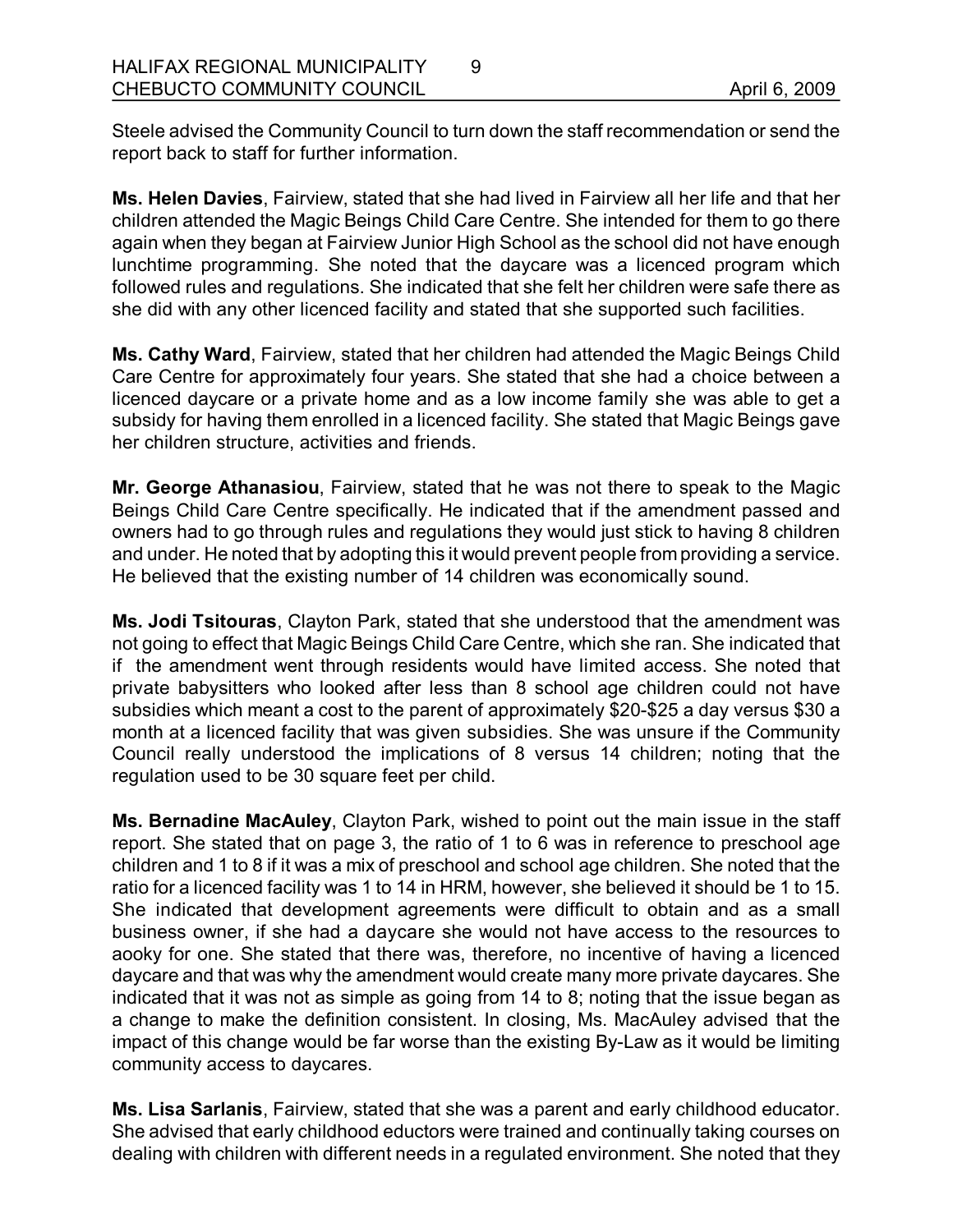Steele advised the Community Council to turn down the staff recommendation or send the report back to staff for further information.

9

**Ms. Helen Davies**, Fairview, stated that she had lived in Fairview all her life and that her children attended the Magic Beings Child Care Centre. She intended for them to go there again when they began at Fairview Junior High School as the school did not have enough lunchtime programming. She noted that the daycare was a licenced program which followed rules and regulations. She indicated that she felt her children were safe there as she did with any other licenced facility and stated that she supported such facilities.

**Ms. Cathy Ward**, Fairview, stated that her children had attended the Magic Beings Child Care Centre for approximately four years. She stated that she had a choice between a licenced daycare or a private home and as a low income family she was able to get a subsidy for having them enrolled in a licenced facility. She stated that Magic Beings gave her children structure, activities and friends.

**Mr. George Athanasiou**, Fairview, stated that he was not there to speak to the Magic Beings Child Care Centre specifically. He indicated that if the amendment passed and owners had to go through rules and regulations they would just stick to having 8 children and under. He noted that by adopting this it would prevent people from providing a service. He believed that the existing number of 14 children was economically sound.

**Ms. Jodi Tsitouras**, Clayton Park, stated that she understood that the amendment was not going to effect that Magic Beings Child Care Centre, which she ran. She indicated that if the amendment went through residents would have limited access. She noted that private babysitters who looked after less than 8 school age children could not have subsidies which meant a cost to the parent of approximately \$20-\$25 a day versus \$30 a month at a licenced facility that was given subsidies. She was unsure if the Community Council really understood the implications of 8 versus 14 children; noting that the regulation used to be 30 square feet per child.

**Ms. Bernadine MacAuley**, Clayton Park, wished to point out the main issue in the staff report. She stated that on page 3, the ratio of 1 to 6 was in reference to preschool age children and 1 to 8 if it was a mix of preschool and school age children. She noted that the ratio for a licenced facility was 1 to 14 in HRM, however, she believed it should be 1 to 15. She indicated that development agreements were difficult to obtain and as a small business owner, if she had a daycare she would not have access to the resources to aooky for one. She stated that there was, therefore, no incentive of having a licenced daycare and that was why the amendment would create many more private daycares. She indicated that it was not as simple as going from 14 to 8; noting that the issue began as a change to make the definition consistent. In closing, Ms. MacAuley advised that the impact of this change would be far worse than the existing By-Law as it would be limiting community access to daycares.

**Ms. Lisa Sarlanis**, Fairview, stated that she was a parent and early childhood educator. She advised that early childhood eductors were trained and continually taking courses on dealing with children with different needs in a regulated environment. She noted that they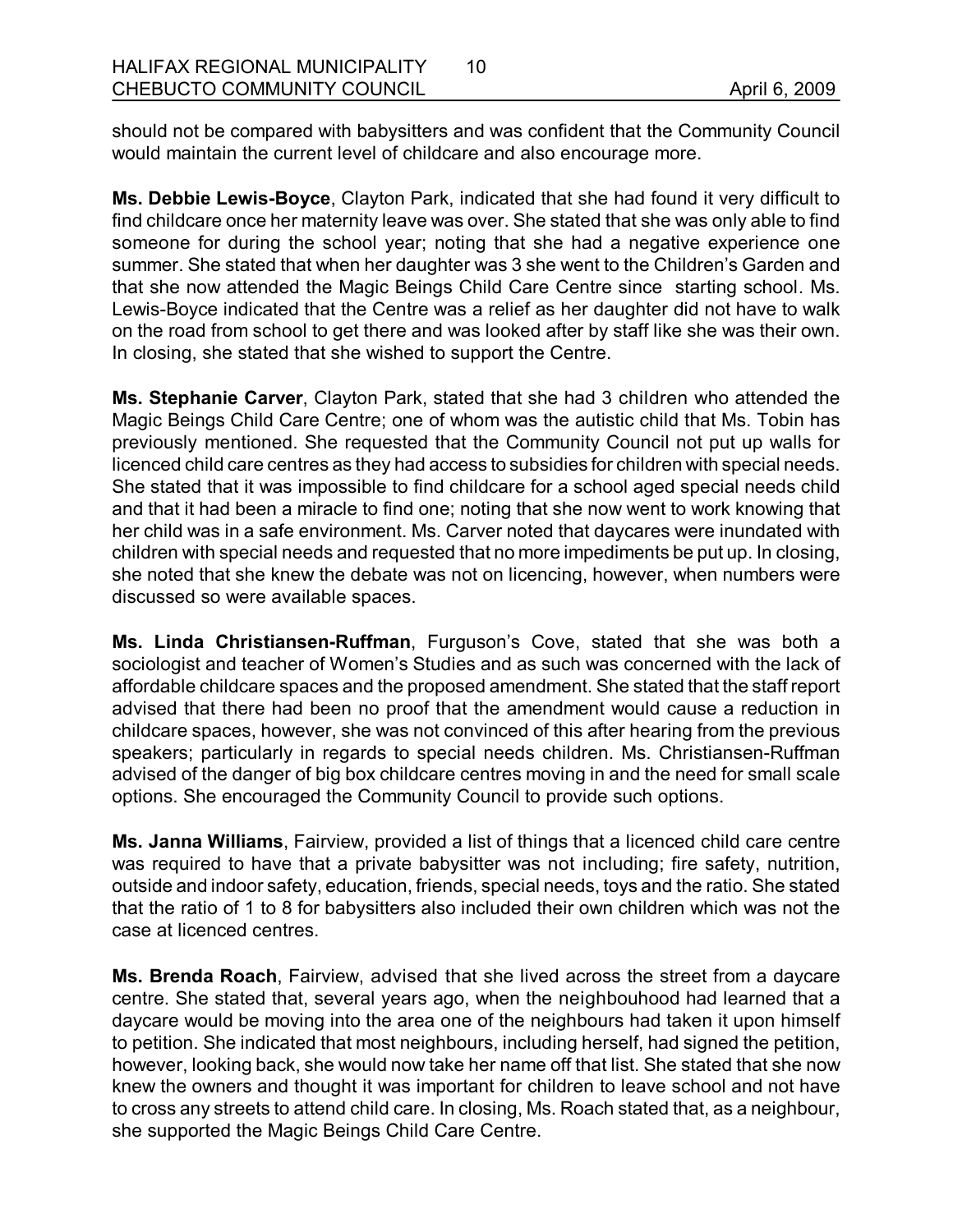should not be compared with babysitters and was confident that the Community Council would maintain the current level of childcare and also encourage more.

Ms. Debbie Lewis-Boyce, Clayton Park, indicated that she had found it very difficult to find childcare once her maternity leave was over. She stated that she was only able to find someone for during the school year; noting that she had a negative experience one summer. She stated that when her daughter was 3 she went to the Children's Garden and that she now attended the Magic Beings Child Care Centre since starting school. Ms. Lewis-Boyce indicated that the Centre was a relief as her daughter did not have to walk on the road from school to get there and was looked after by staff like she was their own. In closing, she stated that she wished to support the Centre.

**Ms. Stephanie Carver**, Clayton Park, stated that she had 3 children who attended the Magic Beings Child Care Centre; one of whom was the autistic child that Ms. Tobin has previously mentioned. She requested that the Community Council not put up walls for licenced child care centres as they had access to subsidies for children with special needs. She stated that it was impossible to find childcare for a school aged special needs child and that it had been a miracle to find one; noting that she now went to work knowing that her child was in a safe environment. Ms. Carver noted that daycares were inundated with children with special needs and requested that no more impediments be put up. In closing, she noted that she knew the debate was not on licencing, however, when numbers were discussed so were available spaces.

**Ms. Linda Christiansen-Ruffman, Furguson's Cove, stated that she was both a** sociologist and teacher of Women's Studies and as such was concerned with the lack of affordable childcare spaces and the proposed amendment. She stated that the staff report advised that there had been no proof that the amendment would cause a reduction in childcare spaces, however, she was not convinced of this after hearing from the previous speakers; particularly in regards to special needs children. Ms. Christiansen-Ruffman advised of the danger of big box childcare centres moving in and the need for small scale options. She encouraged the Community Council to provide such options.

**Ms. Janna Williams**, Fairview, provided a list of things that a licenced child care centre was required to have that a private babysitter was not including; fire safety, nutrition, outside and indoor safety, education, friends, special needs, toys and the ratio. She stated that the ratio of 1 to 8 for babysitters also included their own children which was not the case at licenced centres.

**Ms. Brenda Roach**, Fairview, advised that she lived across the street from a daycare centre. She stated that, several years ago, when the neighbouhood had learned that a daycare would be moving into the area one of the neighbours had taken it upon himself to petition. She indicated that most neighbours, including herself, had signed the petition, however, looking back, she would now take her name off that list. She stated that she now knew the owners and thought it was important for children to leave school and not have to cross any streets to attend child care. In closing, Ms. Roach stated that, as a neighbour, she supported the Magic Beings Child Care Centre.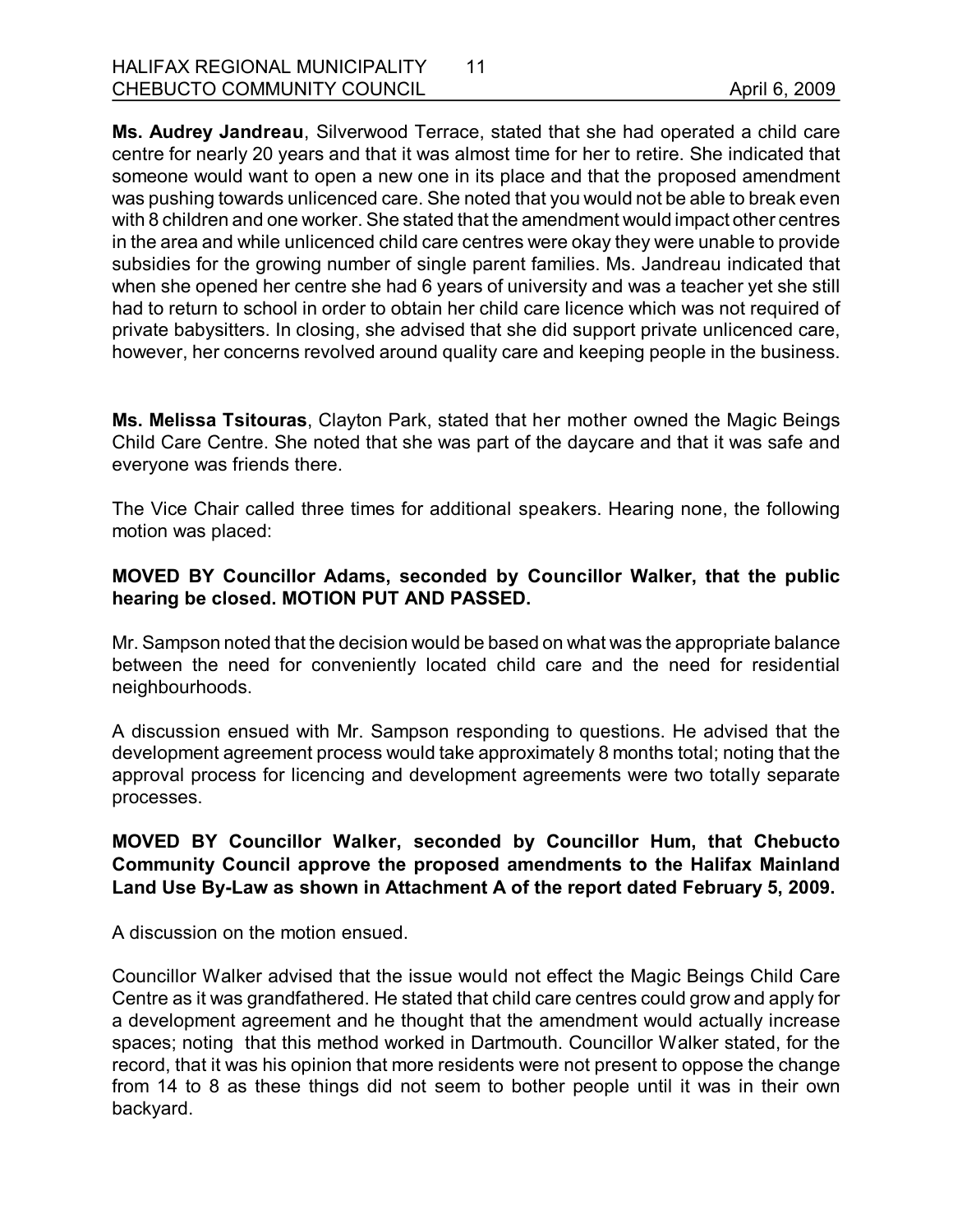**Ms. Audrey Jandreau**, Silverwood Terrace, stated that she had operated a child care centre for nearly 20 years and that it was almost time for her to retire. She indicated that someone would want to open a new one in its place and that the proposed amendment was pushing towards unlicenced care. She noted that you would not be able to break even with 8 children and one worker. She stated that the amendment would impact other centres in the area and while unlicenced child care centres were okay they were unable to provide subsidies for the growing number of single parent families. Ms. Jandreau indicated that when she opened her centre she had 6 years of university and was a teacher yet she still had to return to school in order to obtain her child care licence which was not required of private babysitters. In closing, she advised that she did support private unlicenced care, however, her concerns revolved around quality care and keeping people in the business.

**Ms. Melissa Tsitouras**, Clayton Park, stated that her mother owned the Magic Beings Child Care Centre. She noted that she was part of the daycare and that it was safe and everyone was friends there.

The Vice Chair called three times for additional speakers. Hearing none, the following motion was placed:

## **MOVED BY Councillor Adams, seconded by Councillor Walker, that the public hearing be closed. MOTION PUT AND PASSED.**

Mr. Sampson noted that the decision would be based on what was the appropriate balance between the need for conveniently located child care and the need for residential neighbourhoods.

A discussion ensued with Mr. Sampson responding to questions. He advised that the development agreement process would take approximately 8 months total; noting that the approval process for licencing and development agreements were two totally separate processes.

## **MOVED BY Councillor Walker, seconded by Councillor Hum, that Chebucto Community Council approve the proposed amendments to the Halifax Mainland** Land Use By-Law as shown in Attachment A of the report dated February 5, 2009.

A discussion on the motion ensued.

Councillor Walker advised that the issue would not effect the Magic Beings Child Care Centre as it was grandfathered. He stated that child care centres could grow and apply for a development agreement and he thought that the amendment would actually increase spaces; noting that this method worked in Dartmouth. Councillor Walker stated, for the record, that it was his opinion that more residents were not present to oppose the change from 14 to 8 as these things did not seem to bother people until it was in their own backyard.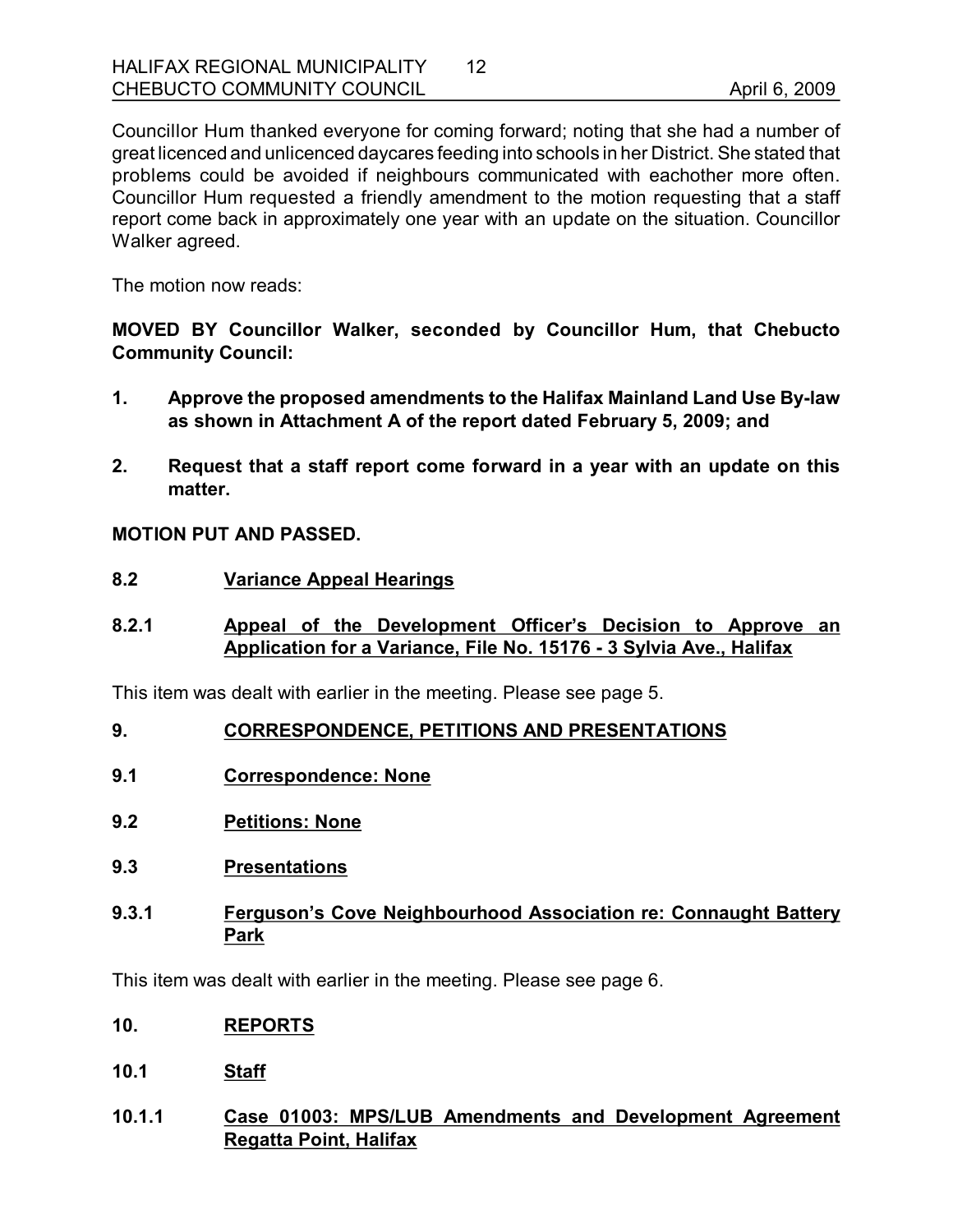Councillor Hum thanked everyone for coming forward; noting that she had a number of great licenced and unlicenced daycares feeding into schools in her District. She stated that problems could be avoided if neighbours communicated with eachother more often. Councillor Hum requested a friendly amendment to the motion requesting that a staff report come back in approximately one year with an update on the situation. Councillor Walker agreed.

The motion now reads:

**MOVED BY Councillor Walker, seconded by Councillor Hum, that Chebucto Community Council:**

- **1. Approve the proposed amendments to the Halifax Mainland Land Use Bylaw as shown in Attachment A of the report dated February 5, 2009; and**
- **2. Request that a staff report come forward in a year with an update on this matter.**

**MOTION PUT AND PASSED.** 

- **8.2 Variance Appeal Hearings**
- **8.2.1 Appeal of the Development Officer's Decision to Approve an Application for a Variance, File No. 15176 3 Sylvia Ave., Halifax**

This item was dealt with earlier in the meeting. Please see page 5.

- **9. CORRESPONDENCE, PETITIONS AND PRESENTATIONS**
- **9.1 Correspondence: None**
- **9.2 Petitions: None**
- **9.3 Presentations**
- **9.3.1 Ferguson's Cove Neighbourhood Association re: Connaught Battery Park**

This item was dealt with earlier in the meeting. Please see page 6.

- **10. REPORTS**
- **10.1 Staff**
- **10.1.1 Case 01003: MPS/LUB Amendments and Development Agreement Regatta Point, Halifax**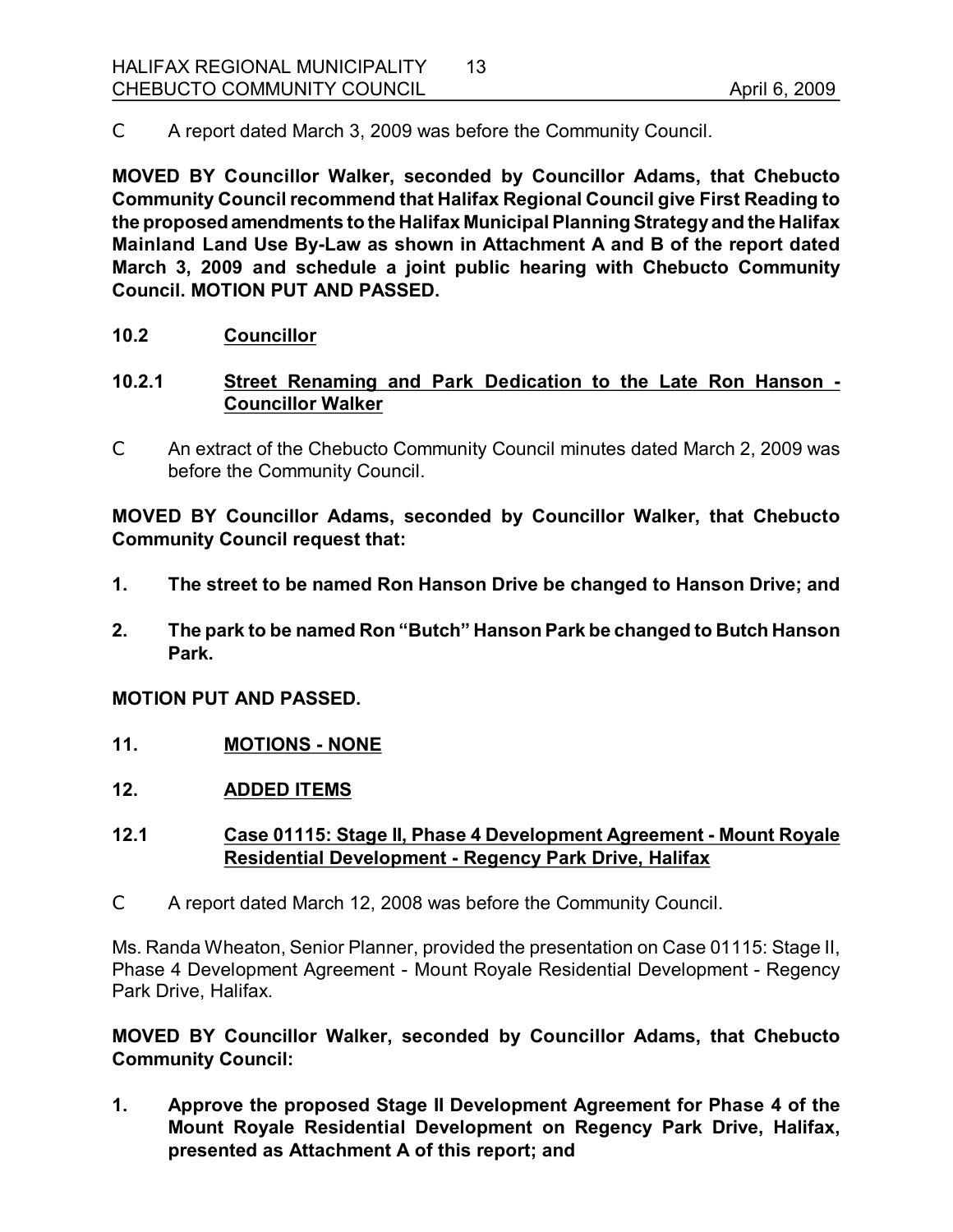C A report dated March 3, 2009 was before the Community Council.

**MOVED BY Councillor Walker, seconded by Councillor Adams, that Chebucto Community Council recommend that Halifax Regional Council give First Reading to the proposedamendments to the Halifax Municipal Planning Strategy and the Halifax Mainland Land Use ByLaw as shown in Attachment A and B of the report dated March 3, 2009 and schedule a joint public hearing with Chebucto Community Council. MOTION PUT AND PASSED.** 

## **10.2 Councillor**

# **10.2.1 Street Renaming and Park Dedication to the Late Ron Hanson Councillor Walker**

C An extract of the Chebucto Community Council minutes dated March 2, 2009 was before the Community Council.

**MOVED BY Councillor Adams, seconded by Councillor Walker, that Chebucto Community Council request that:**

- **1. The street to be named Ron Hanson Drive be changed to Hanson Drive; and**
- **2. The park to be named Ron "Butch" Hanson Park be changed to Butch Hanson Park.**

#### **MOTION PUT AND PASSED.**

- **11. MOTIONS NONE**
- **12. ADDED ITEMS**

#### **12.1 Case 01115: Stage II, Phase 4 Development Agreement Mount Royale Residential Development Regency Park Drive, Halifax**

C A report dated March 12, 2008 was before the Community Council.

Ms. Randa Wheaton, Senior Planner, provided the presentation on Case 01115: Stage II, Phase 4 Development Agreement - Mount Royale Residential Development - Regency Park Drive, Halifax.

**MOVED BY Councillor Walker, seconded by Councillor Adams, that Chebucto Community Council:**

**1. Approve the proposed Stage II Development Agreement for Phase 4 of the Mount Royale Residential Development on Regency Park Drive, Halifax, presented as Attachment A of this report; and**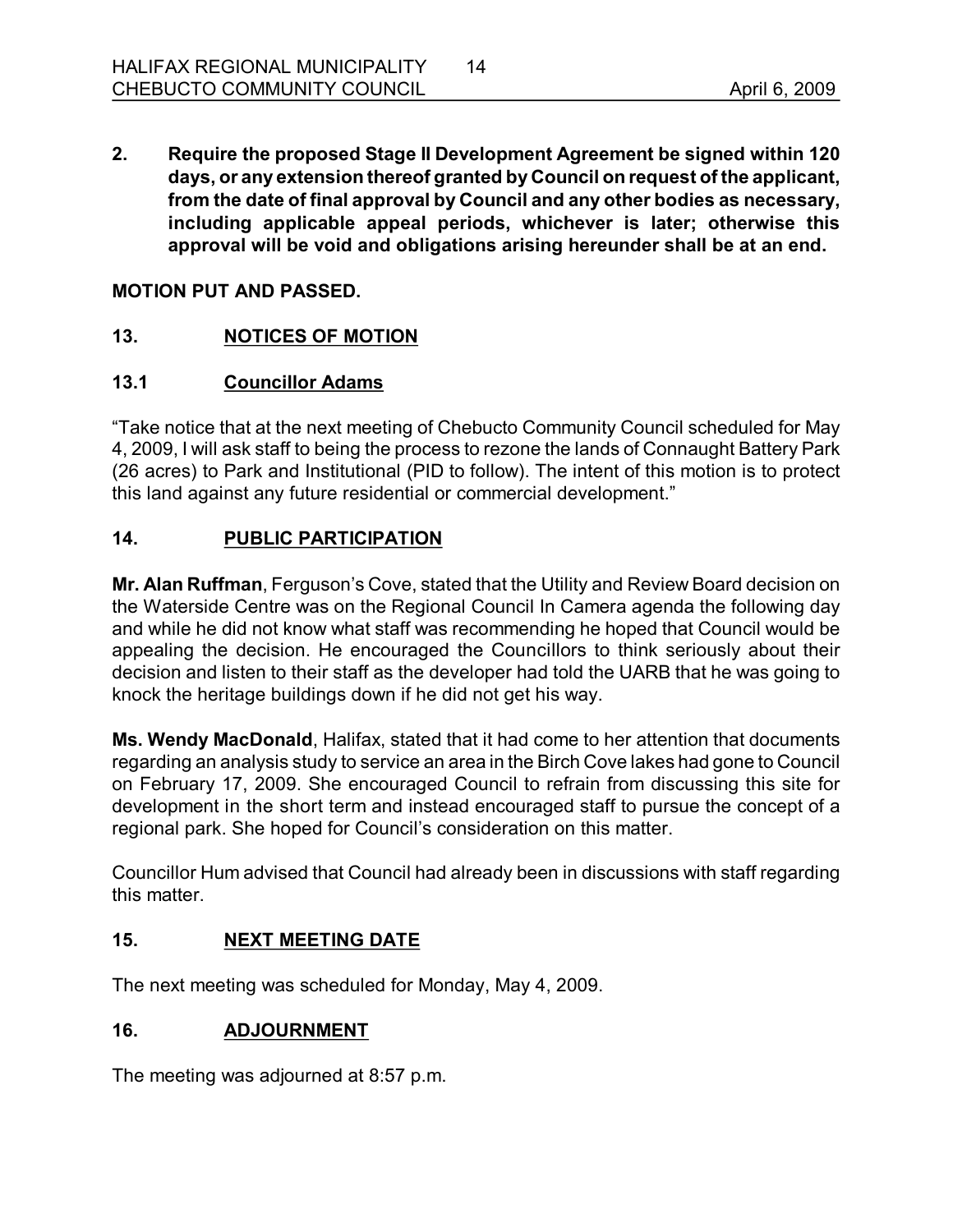**2. Require the proposed Stage II Development Agreement be signed within 120 days, or any extension thereof granted by Council on request of the applicant, from the date of final approval by Council and any other bodies as necessary, including applicable appeal periods, whichever is later; otherwise this approval will be void and obligations arising hereunder shall be at an end.** 

## **MOTION PUT AND PASSED.**

## **13. NOTICES OF MOTION**

## **13.1 Councillor Adams**

"Take notice that at the next meeting of Chebucto Community Council scheduled for May 4, 2009, I will ask staff to being the process to rezone the lands of Connaught Battery Park (26 acres) to Park and Institutional (PID to follow). The intent of this motion is to protect this land against any future residential or commercial development."

## **14. PUBLIC PARTICIPATION**

**Mr. Alan Ruffman**, Ferguson's Cove, stated that the Utility and Review Board decision on the Waterside Centre was on the Regional Council In Camera agenda the following day and while he did not know what staff was recommending he hoped that Council would be appealing the decision. He encouraged the Councillors to think seriously about their decision and listen to their staff as the developer had told the UARB that he was going to knock the heritage buildings down if he did not get his way.

**Ms. Wendy MacDonald**, Halifax, stated that it had come to her attention that documents regarding an analysis study to service an area in the Birch Cove lakes had gone to Council on February 17, 2009. She encouraged Council to refrain from discussing this site for development in the short term and instead encouraged staff to pursue the concept of a regional park. She hoped for Council's consideration on this matter.

Councillor Hum advised that Council had already been in discussions with staff regarding this matter.

#### **15. NEXT MEETING DATE**

The next meeting was scheduled for Monday, May 4, 2009.

## **16. ADJOURNMENT**

The meeting was adjourned at 8:57 p.m.